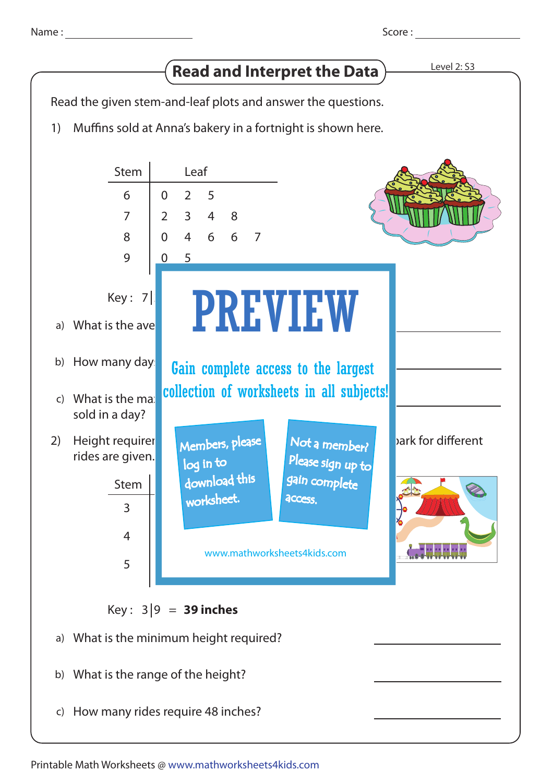